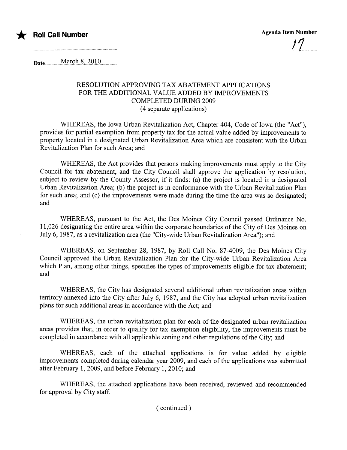

Date............Març.iß.L7.9J.Q.............

## RESOLUTION APPROVING TAX ABATEMENT APPLICATIONS FOR THE ADDITIONAL VALUE ADDED BY IMPROVEMENTS COMPLETED DURING 2009 (4 separate applications)

WHEREAS, the Iowa Urban Revitalization Act, Chapter 404, Code of Iowa (the "Act"), provides for partial exemption from property tax for the actual value added by improvements to property located in a designated Urban Revitalization Area which are consistent with the Urban Revitalization Plan for such Area; and

WHEREAS, the Act provides that persons making improvements must apply to the City Council for tax abatement, and the City Council shall approve the application by resolution, subject to review by the County Assessor, if it finds: (a) the project is located in a designated Urban Revitalization Area; (b) the project is in conformance with the Urban Revitalization Plan for such area; and (c) the improvements were made during the time the area was so designated; and

WHEREAS, pursuant to the Act, the Des Moines City Council passed Ordinance No. 11,026 designating the entire area within the corporate boundaries ofthe City of Des Moines on July 6, 1987, as a revitalization area (the "City-wide Urban Revitalization Area"); and

WHEREAS, on September 28, 1987, by Roll Call No. 87-4009, the Des Moines City Council approved the Urban Revitalization Plan for the City-wide Urban Revitalization Area which Plan, among other things, specifies the types of improvements eligible for tax abatement; and

WHEREAS, the City has designated several additional urban revitalization areas within terrtory annexed into the City after July 6, 1987, and the City has adopted urban revitalization plans for such additional areas in accordance with the Act; and

WHEREAS, the urban revitalization plan for each of the designated urban revitalization areas provides that, in order to qualify for tax exemption eligibility, the improvements must be completed in accordance with all applicable zoning and other regulations of the City; and

WHEREAS, each of the attached applications is for value added by eligible improvements completed during calendar year 2009, and each of the applications was submitted after February 1, 2009, and before February 1, 2010; and

WHEREAS, the attached applications have been received, reviewed and recommended for approval by City staff.

( continued)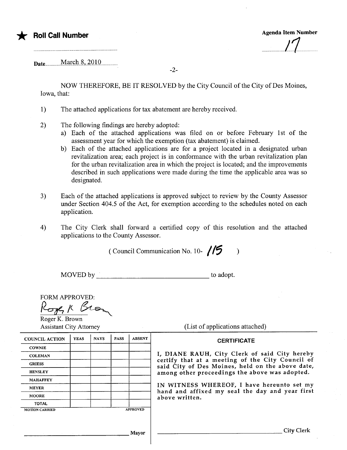

## \* Roll Call Number Agenda Item Number ..................1.1.........

Date..............M.aIçn..S,..201Q..............

NOW THEREFORE, BE IT RESOLVED by the City Council of the City of Des Moines, Iowa, that:

-2-

- 1) The attached applications for tax abatement are hereby received.
- 2) The following findings are hereby adopted:
	- a) Each of the attached applications was filed on or before February 1st of the assessment year for which the exemption (tax abatement) is claimed.
	- b) Each of the attached applications are for a project located in a designated urban revitalization area; each project is in conformance with the urban revitalization plan for the urban revitalization area in which the project is located; and the improvements described in such applications were made during the time the applicable area was so designated.
- 3) Each of the attached applications is approved subject to review by the County Assessor under Section 404.5 of the Act, for exemption according to the schedules noted on each application.
- 4) The City Clerk shall forward a certified copy of this resolution and the attached applications to the County Assessor.

(Council Communication No. 10- $\sqrt{5}$ )

MOVED by the contract of the contract of the contract of the contract of the contract of the contract of the contract of the contract of the contract of the contract of the contract of the contract of the contract of the c

| <b>FORM APPROVED:</b> |
|-----------------------|
| 5ger K Br             |
| Roger K. Brown        |

| <b>Assistant City Attorney</b>    |             |             |             |                 | (List of applications attached)                                                                      |
|-----------------------------------|-------------|-------------|-------------|-----------------|------------------------------------------------------------------------------------------------------|
| <b>COUNCIL ACTION</b>             | <b>YEAS</b> | <b>NAYS</b> | <b>PASS</b> | <b>ABSENT</b>   | <b>CERTIFICATE</b>                                                                                   |
| <b>COWNIE</b>                     |             |             |             |                 |                                                                                                      |
| <b>COLEMAN</b>                    |             |             |             |                 | I, DIANE RAUH, City Clerk of said City hereby                                                        |
| <b>GRIESS</b>                     |             |             |             |                 | certify that at a meeting of the City Council of<br>said City of Des Moines, held on the above date, |
| <b>HENSLEY</b>                    |             |             |             |                 | among other proceedings the above was adopted.                                                       |
| <b>MAHAFFEY</b>                   |             |             |             |                 |                                                                                                      |
| <b>MEYER</b>                      |             |             |             |                 | IN WITNESS WHEREOF, I have hereunto set my<br>hand and affixed my seal the day and year first        |
| <b>MOORE</b>                      |             |             |             |                 | above written.                                                                                       |
| <b>TOTAL</b>                      |             |             |             |                 |                                                                                                      |
| <b>MOTION CARRIED</b>             |             |             |             | <b>APPROVED</b> |                                                                                                      |
|                                   |             |             |             |                 |                                                                                                      |
| and the control of the control of |             |             |             | Mayor           | City Clerk                                                                                           |
|                                   |             |             |             |                 |                                                                                                      |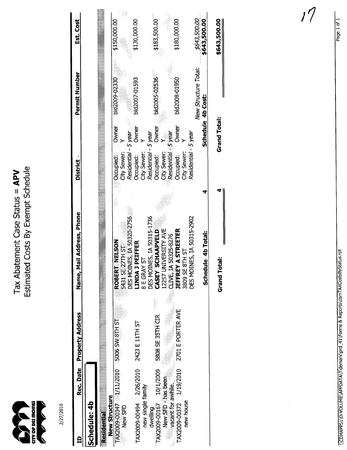and as a chount

Estimated Costs By Exempt Schedule Tax Abatement Case Status = APV

2/27/2010

|                         |           | Rec. Date Property Address | Name, Mail Address, Phone        | <b>District</b> |                                       | Permit Number        | Est. Cost    |
|-------------------------|-----------|----------------------------|----------------------------------|-----------------|---------------------------------------|----------------------|--------------|
| Schedule: 4b            |           |                            |                                  |                 |                                       |                      |              |
| <b>Residential</b>      |           |                            |                                  |                 |                                       |                      |              |
| New Structure           |           |                            |                                  |                 |                                       |                      |              |
| TAX2009-00347           | 1/11/2010 | 5006 SW 8TH ST             | <b>NELSON</b><br><b>ROBERT</b>   | Occupied:       | Owner                                 | bld2009-02330        | \$150,000.00 |
| New SFD                 |           |                            | 5431 SE27TH ST                   | City Sewer:     |                                       |                      |              |
|                         |           |                            | DES MOINES, IA 50320-2756        |                 | Residential - 5 year                  |                      |              |
| TAX2009-00494 2/26/2010 |           | 2423 E 11TH ST             | PEIFFER<br><b>INDAT</b>          | Occupied:       | Owner                                 | bld2007-01593        | \$130,000.00 |
| new single family       |           |                            | 8 E GRAY                         | City Sewer:     |                                       |                      |              |
| dwelling                |           |                            | <b>DES MOINES, IA 50315-1736</b> |                 | Residential - 5 year                  |                      |              |
| FAX2009-00167 10/1/2009 |           | 5808 SE 35TH CIR           | <b>CASEY SCHAAPVELD</b>          | Occupied:       | Owner                                 | bld2005-02536        | \$183,500.00 |
| New SFD -has been       |           |                            | 12257 UNIVERSITY AVE             |                 | City Sewer: Y<br>Residential - 5 year |                      |              |
| vacant for awhile.      |           |                            | CLIVE, IA 50325-8276             |                 |                                       |                      |              |
| TAX2009-00372 1/19/2010 |           | 2701 E PORTER AVE          | <b>A STREETER</b><br>JEFFREY     | Occupied:       | Owner                                 | bld2008-01950        | \$180,000.00 |
| new house               |           |                            | 3809 SE 8TH ST                   | City Sewer:     |                                       |                      |              |
|                         |           |                            | DES MOINES, IA 50315-2902        |                 | Residential - 5 year                  |                      |              |
|                         |           |                            |                                  |                 |                                       | New Structure Total. | \$643,500.00 |
|                         |           |                            | Schedule 4b Total:               |                 |                                       | Schedule 4b Cost:    | \$643,500.00 |
|                         |           |                            | <b>Grand Total:</b>              |                 | <b>Grand Total:</b>                   |                      | \$643,500.00 |
|                         |           |                            |                                  |                 |                                       |                      |              |

\\CDMAPPS1\D-VOLUME\APPDATA\Tidemark\prd\_41\Forms & Reports\dsmTAXCostsByStatus.rpt

 $1\sqrt{}$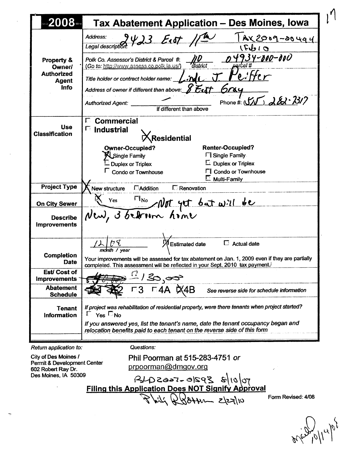| $7423$ East 1/2<br>Address:<br><u>  Ax2009-20494</u><br>Legal description<br>15610<br>4934-000-000<br>Polk Co. Assessor's District & Parcel #.<br>Property &<br>district<br>arcel #<br>(Go to: http://www.assess.co.polk.ia.us/)<br><b>Owner/</b><br><b>Authorized</b><br>'e:Her<br>المهنه<br>Title holder or contract holder name:<br><b>Agent</b><br>Address of owner if different than above: $\cancel{\cancel{\mathcal{E}}}\mathcal{E}$ c $\bm{\psi}$<br>Info<br>604<br>Phone # $(Y/\sqrt{2})$ $\lambda\&\cdot\&\cdot\&\cdot\&\cdot$<br><b>Authorized Agent:</b><br>if different than above<br><b>Commercial</b><br>Г.<br><b>Use</b><br>$\Box$ Industrial<br><b>Classification</b><br>人Residential<br><b>Renter-Occupied?</b><br><b>Owner-Occupied?</b><br>Single Family<br><b>Fil Single Family</b><br>$\Box$ Duplex or Triplex<br><b>Duplex or Triplex</b><br><b>FI</b> Condo or Townhouse<br>Condo or Townhouse<br>$E$ Multi-Family<br><b>Project Type</b><br><b>E</b> Addition<br><b>E</b> Renovation<br>New structure<br>New, 3 between home<br><b>On City Sewer</b><br><b>Describe</b><br><b>Improvements</b><br>$\Box$ Actual date<br><b>Estimated date</b><br>month / year<br><b>Completion</b><br>Your improvements will be assessed for tax abatement on Jan. 1, 2009 even if they are partially<br><b>Date</b><br>completed. This assessment will be reflected in your Sept. 2010 tax payment.<br>Est/Cost of<br><u>/So<sub>s</sub>∞s&gt;</u><br>F4A ¤X4B<br><b>Improvements</b><br><b>Abatement</b><br>See reverse side for schedule information<br><b>Schedule</b><br>If project was rehabilitation of residential property, were there tenants when project started?<br><b>Tenant</b><br>$Yes \n\n\Box No$<br>L.<br>Information<br>If you answered yes, list the tenant's name, date the tenant occupancy began and<br>relocation benefits paid to each tenant on the reverse side of this form | $-2008$ . $\blacksquare$ | Tax Abatement Application - Des Moines, Iowa |
|-------------------------------------------------------------------------------------------------------------------------------------------------------------------------------------------------------------------------------------------------------------------------------------------------------------------------------------------------------------------------------------------------------------------------------------------------------------------------------------------------------------------------------------------------------------------------------------------------------------------------------------------------------------------------------------------------------------------------------------------------------------------------------------------------------------------------------------------------------------------------------------------------------------------------------------------------------------------------------------------------------------------------------------------------------------------------------------------------------------------------------------------------------------------------------------------------------------------------------------------------------------------------------------------------------------------------------------------------------------------------------------------------------------------------------------------------------------------------------------------------------------------------------------------------------------------------------------------------------------------------------------------------------------------------------------------------------------------------------------------------------------------------------------------------------------------------------------------------------------------------------------------------------------------|--------------------------|----------------------------------------------|
|                                                                                                                                                                                                                                                                                                                                                                                                                                                                                                                                                                                                                                                                                                                                                                                                                                                                                                                                                                                                                                                                                                                                                                                                                                                                                                                                                                                                                                                                                                                                                                                                                                                                                                                                                                                                                                                                                                                   |                          |                                              |
|                                                                                                                                                                                                                                                                                                                                                                                                                                                                                                                                                                                                                                                                                                                                                                                                                                                                                                                                                                                                                                                                                                                                                                                                                                                                                                                                                                                                                                                                                                                                                                                                                                                                                                                                                                                                                                                                                                                   |                          |                                              |
|                                                                                                                                                                                                                                                                                                                                                                                                                                                                                                                                                                                                                                                                                                                                                                                                                                                                                                                                                                                                                                                                                                                                                                                                                                                                                                                                                                                                                                                                                                                                                                                                                                                                                                                                                                                                                                                                                                                   |                          |                                              |
|                                                                                                                                                                                                                                                                                                                                                                                                                                                                                                                                                                                                                                                                                                                                                                                                                                                                                                                                                                                                                                                                                                                                                                                                                                                                                                                                                                                                                                                                                                                                                                                                                                                                                                                                                                                                                                                                                                                   |                          |                                              |
|                                                                                                                                                                                                                                                                                                                                                                                                                                                                                                                                                                                                                                                                                                                                                                                                                                                                                                                                                                                                                                                                                                                                                                                                                                                                                                                                                                                                                                                                                                                                                                                                                                                                                                                                                                                                                                                                                                                   |                          |                                              |
|                                                                                                                                                                                                                                                                                                                                                                                                                                                                                                                                                                                                                                                                                                                                                                                                                                                                                                                                                                                                                                                                                                                                                                                                                                                                                                                                                                                                                                                                                                                                                                                                                                                                                                                                                                                                                                                                                                                   |                          |                                              |
|                                                                                                                                                                                                                                                                                                                                                                                                                                                                                                                                                                                                                                                                                                                                                                                                                                                                                                                                                                                                                                                                                                                                                                                                                                                                                                                                                                                                                                                                                                                                                                                                                                                                                                                                                                                                                                                                                                                   |                          |                                              |
|                                                                                                                                                                                                                                                                                                                                                                                                                                                                                                                                                                                                                                                                                                                                                                                                                                                                                                                                                                                                                                                                                                                                                                                                                                                                                                                                                                                                                                                                                                                                                                                                                                                                                                                                                                                                                                                                                                                   |                          |                                              |

Phil Poorman at 515-283-4751 or City of Des Moines / Permit & Development Center prpoorman@dmgov.org 602 Robert Ray Dr. Des Moines, IA 50309  $70008$   $2920$   $-7662048$ **Filing this Application Does NOT Signify Approval** Form Revised: 4/08  $844 - 22710$ 

 $\mu\beta^{\prime}$ g,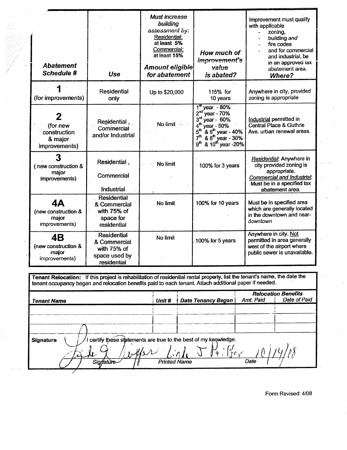| <b>Abatement</b><br>Schedule #                             | Use                                                                               | Must increase<br>building<br>assessment by.<br>Residential:<br>at least 5%<br>Commercial:<br>at least 15%<br>Amount eligible<br>for abatement | How much of<br>improvement's<br>value<br>is abated?                                                                                                                                                                                                               | Improvement must qualify<br>with applicable<br>zoning,<br>building and<br>fire codes<br>and for commercial<br>and industrial, be<br>in an approved tax<br>abatement area.<br>Where? |
|------------------------------------------------------------|-----------------------------------------------------------------------------------|-----------------------------------------------------------------------------------------------------------------------------------------------|-------------------------------------------------------------------------------------------------------------------------------------------------------------------------------------------------------------------------------------------------------------------|-------------------------------------------------------------------------------------------------------------------------------------------------------------------------------------|
| (for improvements)                                         | <b>Residential</b><br>only                                                        | Up to \$20,000                                                                                                                                | 115% for<br>10 years                                                                                                                                                                                                                                              | Anywhere in city, provided<br>zoning is appropriate                                                                                                                                 |
| 2<br>(for new<br>construction<br>& major<br>improvements)  | Residential,<br>Commercial<br>and/or Industrial                                   | No limit                                                                                                                                      | $1st$ year - 80%<br>2 <sup>nd</sup><br>year - 70%<br>$3rd$ year - 60%<br>4 <sup>th</sup><br>year - 50%<br>5 <sup>th</sup><br>$8^{6^{\text{th}}}$ year - 40%<br>8.8 <sup>th</sup> year - 30%<br>7 <sup>th</sup><br>g <sup>th</sup><br>& 10 <sup>th</sup> year -20% | Industrial permitted in<br>Central Place & Guthrie<br>Ave. urban renewal areas.                                                                                                     |
| 3<br>(new construction &<br>major<br>improvements)         | Residential,<br>Commercial<br>Industrial                                          | No limit                                                                                                                                      | 100% for 3 years                                                                                                                                                                                                                                                  | Residential: Anywhere in<br>city provided zoning is<br>appropriate.<br>Commercial and Industrial:<br>Must be in a specified tax<br>abatement area.                                  |
| <b>4A</b><br>(new construction &<br>major<br>improvements) | Residential<br>& Commercial<br>with 75% of<br>space for<br>residential            | No limit                                                                                                                                      | 100% for 10 years                                                                                                                                                                                                                                                 | Must be in specified area<br>which are generally located<br>in the downtown and near-<br>downtown                                                                                   |
| 4B<br>(new construction &<br>major<br>improvements)        | <b>Residential</b><br>& Commercial<br>with 75% of<br>space used by<br>residential | No limit                                                                                                                                      | 100% for 5 years                                                                                                                                                                                                                                                  | Anywhere in city. Not<br>permitted in area generally<br>west of the airport where<br>public sewer is unavailable.                                                                   |
|                                                            |                                                                                   |                                                                                                                                               |                                                                                                                                                                                                                                                                   | Tenant Relocation: If this project is rehabilitation of residential rental property, list the tenant's name, the date the                                                           |

| <b>Tenant Name</b>                                                                          | Unit #              | Date Tenancy Began | Amt. Paid | <b>Relocation Benefits</b><br>Date of Paid |
|---------------------------------------------------------------------------------------------|---------------------|--------------------|-----------|--------------------------------------------|
|                                                                                             |                     |                    |           |                                            |
|                                                                                             |                     |                    |           |                                            |
|                                                                                             |                     |                    |           |                                            |
| certify these statements are true to the best of my knowledge.<br><b>Signature</b><br>where |                     |                    |           |                                            |
| Signature                                                                                   | <b>Printed Name</b> |                    | Date      |                                            |

tenant occupancy began and relocation benefits paid to each tenant. Attach additional paper if needed.

Form Revised: 4/08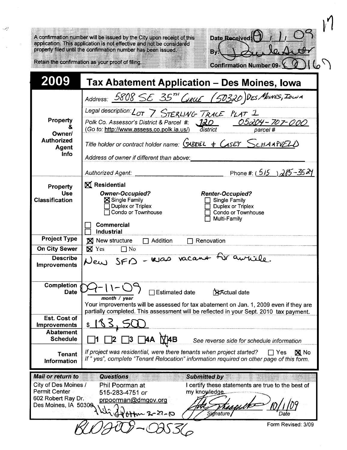A confirmation number will be issued by the City upon receipt of this application. This application is not effective and not be considered properly filed until the confirmation number has been issued.

| Date Received                  |  |  |  |  |
|--------------------------------|--|--|--|--|
|                                |  |  |  |  |
|                                |  |  |  |  |
| <b>Confirmation Number 09-</b> |  |  |  |  |

Retain the confirmation as your proof of filing.

ۇپ

| 2009                                                                                                            | Tax Abatement Application - Des Moines, Iowa                                                                                                                                                                                                                                                                                                                                                         |
|-----------------------------------------------------------------------------------------------------------------|------------------------------------------------------------------------------------------------------------------------------------------------------------------------------------------------------------------------------------------------------------------------------------------------------------------------------------------------------------------------------------------------------|
| Property<br>&<br>Owner/<br><b>Authorized</b><br>Agent<br><b>Info</b>                                            | Address: 5808 SE 35 <sup>TH</sup> GRUE (50320)DES MOINES, IOWA<br>Legal description: LOT 7 STERLING TRACE PLAT 1<br>05204-707-000<br>120<br>Polk Co. Assessor's District & Parcel #:<br>district<br>(Go to: http://www.assess.co.polk.ia.us/)<br>parcel #<br>Title holder or contract holder name: $(SABRIEL + CASEY)$<br>Address of owner if different than above:<br>Phone #: $(515)$ $285 - 3524$ |
| <b>Property</b><br><b>Use</b><br><b>Classification</b>                                                          | <b>Authorized Agent:</b><br><b>X</b> Residential<br><b>Owner-Occupied?</b><br><b>Renter-Occupied?</b><br>Single Family<br>Single Family<br>Duplex or Triplex<br>Duplex or Triplex<br>Condo or Townhouse<br>Condo or Townhouse<br>Multi-Family<br><b>Commercial</b><br><b>Industrial</b>                                                                                                              |
| <b>Project Type</b>                                                                                             | <b>N</b> New structure<br>$\Box$ Addition<br>Renovation                                                                                                                                                                                                                                                                                                                                              |
| <b>On City Sewer</b>                                                                                            | $\boxtimes$ Yes<br>$\Box$ No                                                                                                                                                                                                                                                                                                                                                                         |
| <b>Describe</b><br><b>Improvements</b>                                                                          | New SFD - Was vacant for autile.                                                                                                                                                                                                                                                                                                                                                                     |
| <b>Completion</b><br><b>Date</b><br><b>Est. Cost of</b><br>Improvements<br><b>Abatement</b><br><b>Schedule</b>  | $\Box$ Estimated date<br><b>XActual date</b><br>month / year<br>Your improvements will be assessed for tax abatement on Jan. 1, 2009 even if they are<br>partially completed. This assessment will be reflected in your Sept. 2010 tax payment.<br>1 ペ く<br>C<br>`4В<br>See reverse side for schedule information                                                                                    |
| <b>Tenant</b><br>Information                                                                                    | If project was residential, were there tenants when project started?<br><b>X</b> No<br>$\Box$ Yes<br>If " yes", complete "Tenant Relocation" information required on other page of this form.                                                                                                                                                                                                        |
| <b>Mail or return to</b><br>City of Des Moines /<br>Permit Center<br>602 Robert Ray Dr.<br>Des Moines, IA 50309 | <b>Questions</b><br><b>Submitted by</b><br>I certify these statements are true to the best of<br>Phil Poorman at<br>my knowledge.<br>515-283-4751 or<br>prpoorman@dmgov.org<br><b>Signature</b><br>$Hw \sim 2 - 27 - 10$                                                                                                                                                                             |
|                                                                                                                 | Form Revised: 3/09<br>$\sqrt{2}/\sqrt{2}$                                                                                                                                                                                                                                                                                                                                                            |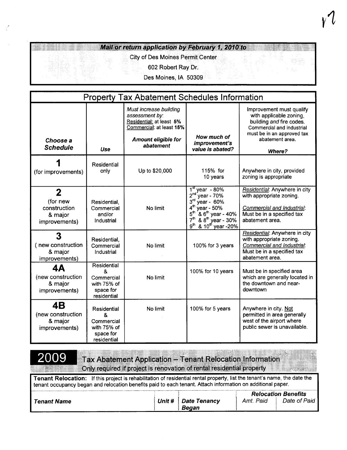## Mail or return application by February 1, 2010 to

## City of Des Moines P

602 Robert Ray Dr.

Des Moines, IA 50309

|                                                                      | <b>Property Tax Abatement Schedules Information</b>                       |                                                                                                                                             |                                                                                                                                                                                                                                                                                      |                                                                                                                                                                         |  |  |  |
|----------------------------------------------------------------------|---------------------------------------------------------------------------|---------------------------------------------------------------------------------------------------------------------------------------------|--------------------------------------------------------------------------------------------------------------------------------------------------------------------------------------------------------------------------------------------------------------------------------------|-------------------------------------------------------------------------------------------------------------------------------------------------------------------------|--|--|--|
| Choose a<br><b>Schedule</b>                                          | Use                                                                       | Must increase building<br>assessment by:<br>Residential: at least 5%<br>Commercial: at least 15%<br><b>Amount eligible for</b><br>abatement | How much of<br>improvement's<br>value is abated?                                                                                                                                                                                                                                     | Improvement must qualify<br>with applicable zoning,<br>building and fire codes.<br>Commercial and industrial<br>must be in an approved tax<br>abatement area.<br>Where? |  |  |  |
| (for improvements)                                                   | Residential<br>only                                                       | Up to \$20,000                                                                                                                              | 115% for<br>10 years                                                                                                                                                                                                                                                                 | Anywhere in city, provided<br>zoning is appropriate                                                                                                                     |  |  |  |
| $\mathbf{2}$<br>(for new<br>construction<br>& major<br>improvements) | Residential,<br>Commercial<br>and/or<br>Industrial                        | No limit                                                                                                                                    | $\frac{1^{st}}{1^{st}}$ year - 80%<br>2 <sup>nd</sup><br>year - 70%<br>3 <sup>rd</sup><br>year - 60%<br>4 <sup>th</sup><br>year - 50%<br>5 <sup>th</sup><br>$8.6th$ year - 40%<br>7 <sup>th</sup><br>$8.8^{\text{th}}$ year - 30%<br>$8.10^{\text{th}}$ year -20%<br>g <sup>th</sup> | Residential: Anywhere in city<br>with appropriate zoning.<br>Commercial and Industrial:<br>Must be in a specified tax<br>abatement area.                                |  |  |  |
| 3<br>(new construction<br>& major<br>improvements)                   | Residential,<br>Commercial<br>Industrial                                  | No limit                                                                                                                                    | 100% for 3 years                                                                                                                                                                                                                                                                     | Residential: Anywhere in city<br>with appropriate zoning.<br>Commercial and Industrial:<br>Must be in a specified tax<br>abatement area.                                |  |  |  |
| 4Α<br>(new construction<br>& major<br>improvements)                  | Residential<br>&<br>Commercial<br>with 75% of<br>space for<br>residential | No limit                                                                                                                                    | 100% for 10 years                                                                                                                                                                                                                                                                    | Must be in specified area<br>which are generally located in<br>the downtown and near-<br>downtown                                                                       |  |  |  |
| <b>4B</b><br>(new construction<br>& major<br>improvements)           | Residential<br>&<br>Commercial<br>with 75% of<br>space for<br>residential | No limit                                                                                                                                    | 100% for 5 years                                                                                                                                                                                                                                                                     | Anywhere in city. Not<br>permitted in area generally<br>west of the airport where<br>public sewer is unavailable.                                                       |  |  |  |

2009

**Tax Abatement Application - Tenant Relocation Information** Only required if project is renovation of rental residential property

Tenant Relocation: If this project is rehabilitation of residential rental property, list the tenant's name, the date the tenant occupancy began and relocation benefits paid to each tenant. Attach information on additional paper.

|             |                                       |              | <b>Relocation Benefits</b> |
|-------------|---------------------------------------|--------------|----------------------------|
| Tenant Name | Unit #   Date Tenancy<br><b>Began</b> | Paid<br>Amt. | Date of Paid               |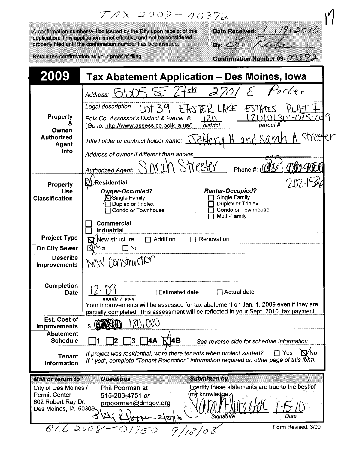|                                                                                                                             | $TAX 2009 - 00372$                                                                                                                                                                                                                              |
|-----------------------------------------------------------------------------------------------------------------------------|-------------------------------------------------------------------------------------------------------------------------------------------------------------------------------------------------------------------------------------------------|
|                                                                                                                             | Date Received: $(1/9/30/0)$<br>A confirmation number will be issued by the City upon receipt of this<br>application. This application is not effective and not be considered                                                                    |
|                                                                                                                             | properly filed until the confirmation number has been issued.<br>By: $\subset$                                                                                                                                                                  |
|                                                                                                                             | Retain the confirmation as your proof of filing.<br>Confirmation Number 09- $O(37)$                                                                                                                                                             |
| 2009                                                                                                                        | <b>Tax Abatement Application - Des Moines, lowa</b>                                                                                                                                                                                             |
|                                                                                                                             | Address:                                                                                                                                                                                                                                        |
| Property                                                                                                                    | Legal description:<br>AKE<br>ESTIMES<br>Polk Co. Assessor's District & Parcel #:<br>parcel #<br>district<br>(Go to: http://www.assess.co.polk.ia.us/)                                                                                           |
| Owner/<br><b>Authorized</b><br>Agent<br><b>Info</b>                                                                         | streel<br>Title holder or contract holder name:                                                                                                                                                                                                 |
|                                                                                                                             | Address of owner if different than above:<br>Phone #: $(\sqrt{a})$<br><b>Authorized Agent:</b>                                                                                                                                                  |
| Property<br><b>Use</b>                                                                                                      | $\%$ Residential<br><b>Renter-Occupied?</b><br><b>Owner-Occupied?</b><br><b>Single Family</b><br>Single Family∏                                                                                                                                 |
| <b>Classification</b>                                                                                                       | <b>Duplex or Triplex</b><br>Duplex or Triplex<br>Condo or Townhouse<br>Condo or Townhouse<br>Multi-Family                                                                                                                                       |
|                                                                                                                             | <b>Commercial</b><br><b>Industrial</b>                                                                                                                                                                                                          |
| <b>Project Type</b>                                                                                                         | Renovation<br>New structure<br>Addition                                                                                                                                                                                                         |
| <b>On City Sewer</b><br><b>Describe</b>                                                                                     | KJ/Yes<br>$\Box$ No                                                                                                                                                                                                                             |
| <b>Improvements</b>                                                                                                         | New Construction                                                                                                                                                                                                                                |
| Completion<br><b>Date</b>                                                                                                   | <b>Actual date</b><br><b>Estimated date</b><br>month / year<br>Your improvements will be assessed for tax abatement on Jan. 1, 2009 even if they are                                                                                            |
| Est. Cost of                                                                                                                | partially completed. This assessment will be reflected in your Sept. 2010 tax payment.                                                                                                                                                          |
| <b>Improvements</b><br><b>Abatement</b><br><b>Schedule</b>                                                                  | 13<br><b>AB</b>                                                                                                                                                                                                                                 |
| <b>Tenant</b><br><b>Information</b>                                                                                         | ИA<br>See reverse side for schedule information<br><b>NVNO</b><br>$\Box$ Yes<br>If project was residential, were there tenants when project started?<br>If "yes", complete "Tenant Relocation" information required on other page of this form. |
| Mail or return to<br>City of Des Moines /<br><b>Permit Center</b><br>602 Robert Ray Dr.<br>Des Moines, IA 5030 <del>0</del> | <b>Submitted by</b><br><b>Questions</b><br>L certify these statements are true to the best of<br>Phil Poorman at<br>(m <b>∖</b> knowledge.∕<br>515-283-4751 or<br>prpoorman@dmgov.org<br>Signature<br>Date<br>مع\ابع\                           |
| $BLO$ 200                                                                                                                   | Form Revised: 3/09<br>01950                                                                                                                                                                                                                     |